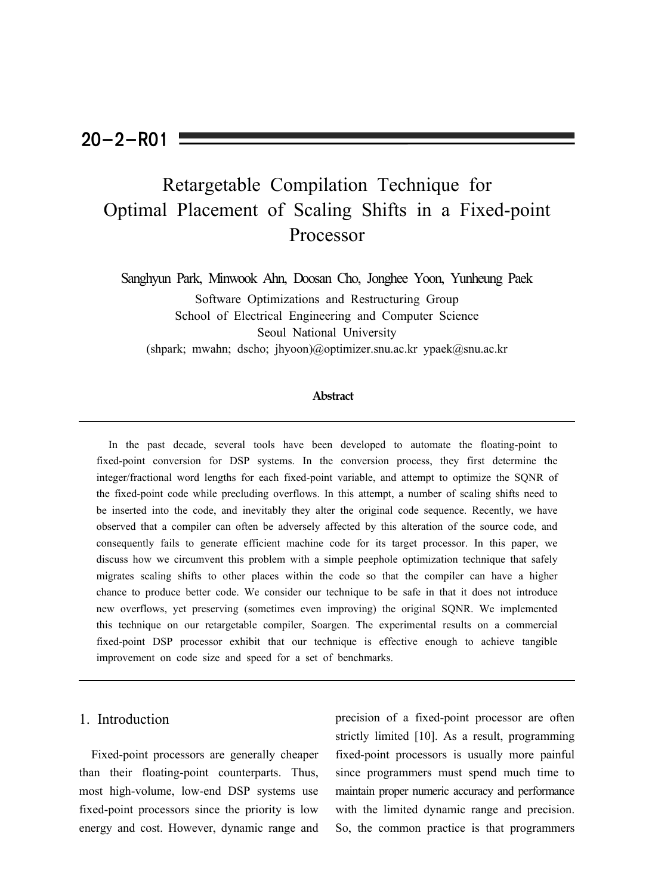## $20 - 2 - R01$

# Retargetable Compilation Technique for Optimal Placement of Scaling Shifts in a Fixed-point Processor

Sanghyun Park, Minwook Ahn, Doosan Cho, Jonghee Yoon, Yunheung Paek Software Optimizations and Restructuring Group School of Electrical Engineering and Computer Science Seoul National University (shpark; mwahn; dscho; jhyoon)@optimizer.snu.ac.kr ypaek@snu.ac.kr

## **Abstract**

In the past decade, several tools have been developed to automate the floating-point to fixed-point conversion for DSP systems. In the conversion process, they first determine the integer/fractional word lengths for each fixed-point variable, and attempt to optimize the SQNR of the fixed-point code while precluding overflows. In this attempt, a number of scaling shifts need to be inserted into the code, and inevitably they alter the original code sequence. Recently, we have observed that a compiler can often be adversely affected by this alteration of the source code, and consequently fails to generate efficient machine code for its target processor. In this paper, we discuss how we circumvent this problem with a simple peephole optimization technique that safely migrates scaling shifts to other places within the code so that the compiler can have a higher chance to produce better code. We consider our technique to be safe in that it does not introduce new overflows, yet preserving (sometimes even improving) the original SQNR. We implemented this technique on our retargetable compiler, Soargen. The experimental results on a commercial fixed-point DSP processor exhibit that our technique is effective enough to achieve tangible improvement on code size and speed for a set of benchmarks.

## 1. Introduction

Fixed-point processors are generally cheaper than their floating-point counterparts. Thus, most high-volume, low-end DSP systems use fixed-point processors since the priority is low energy and cost. However, dynamic range and precision of a fixed-point processor are often strictly limited [10]. As a result, programming fixed-point processors is usually more painful since programmers must spend much time to maintain proper numeric accuracy and performance with the limited dynamic range and precision. So, the common practice is that programmers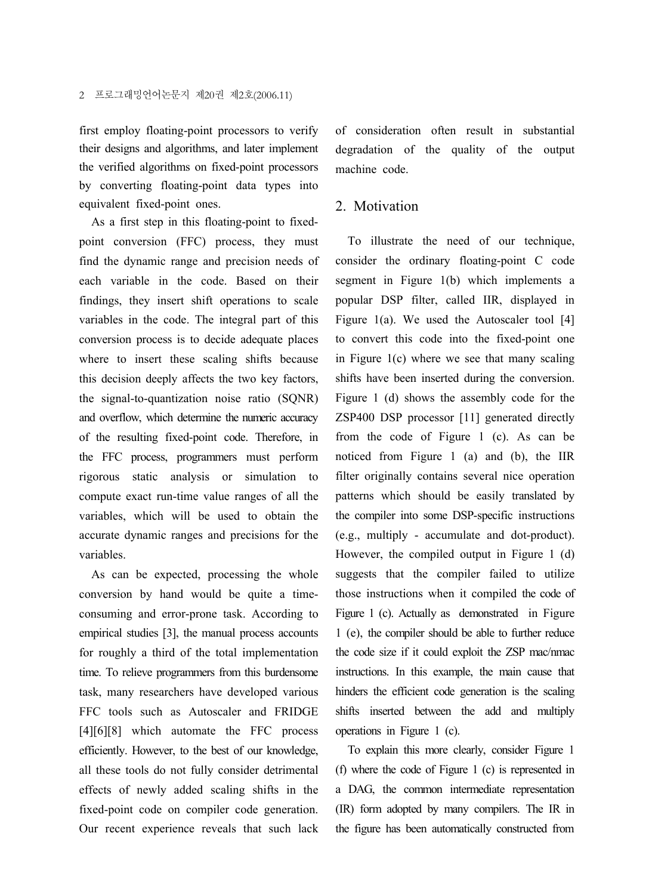first employ floating-point processors to verify their designs and algorithms, and later implement the verified algorithms on fixed-point processors by converting floating-point data types into equivalent fixed-point ones.

As a first step in this floating-point to fixedpoint conversion (FFC) process, they must find the dynamic range and precision needs of each variable in the code. Based on their findings, they insert shift operations to scale variables in the code. The integral part of this conversion process is to decide adequate places where to insert these scaling shifts because this decision deeply affects the two key factors, the signal-to-quantization noise ratio (SQNR) and overflow, which determine the numeric accuracy of the resulting fixed-point code. Therefore, in the FFC process, programmers must perform rigorous static analysis or simulation to compute exact run-time value ranges of all the variables, which will be used to obtain the accurate dynamic ranges and precisions for the variables.

As can be expected, processing the whole conversion by hand would be quite a timeconsuming and error-prone task. According to empirical studies [3], the manual process accounts for roughly a third of the total implementation time. To relieve programmers from this burdensome task, many researchers have developed various FFC tools such as Autoscaler and FRIDGE [4][6][8] which automate the FFC process efficiently. However, to the best of our knowledge, all these tools do not fully consider detrimental effects of newly added scaling shifts in the fixed-point code on compiler code generation. Our recent experience reveals that such lack of consideration often result in substantial degradation of the quality of the output machine code.

## 2. Motivation

To illustrate the need of our technique, consider the ordinary floating-point C code segment in Figure 1(b) which implements a popular DSP filter, called IIR, displayed in Figure 1(a). We used the Autoscaler tool  $[4]$ to convert this code into the fixed-point one in Figure 1(c) where we see that many scaling shifts have been inserted during the conversion. Figure 1 (d) shows the assembly code for the ZSP400 DSP processor [11] generated directly from the code of Figure 1 (c). As can be noticed from Figure 1 (a) and (b), the IIR filter originally contains several nice operation patterns which should be easily translated by the compiler into some DSP-specific instructions (e.g., multiply - accumulate and dot-product). However, the compiled output in Figure 1 (d) suggests that the compiler failed to utilize those instructions when it compiled the code of Figure 1 (c). Actually as demonstrated in Figure 1 (e), the compiler should be able to further reduce the code size if it could exploit the ZSP mac/nmac instructions. In this example, the main cause that hinders the efficient code generation is the scaling shifts inserted between the add and multiply operations in Figure 1 (c).

To explain this more clearly, consider Figure 1 (f) where the code of Figure 1 (c) is represented in a DAG, the common intermediate representation (IR) form adopted by many compilers. The IR in the figure has been automatically constructed from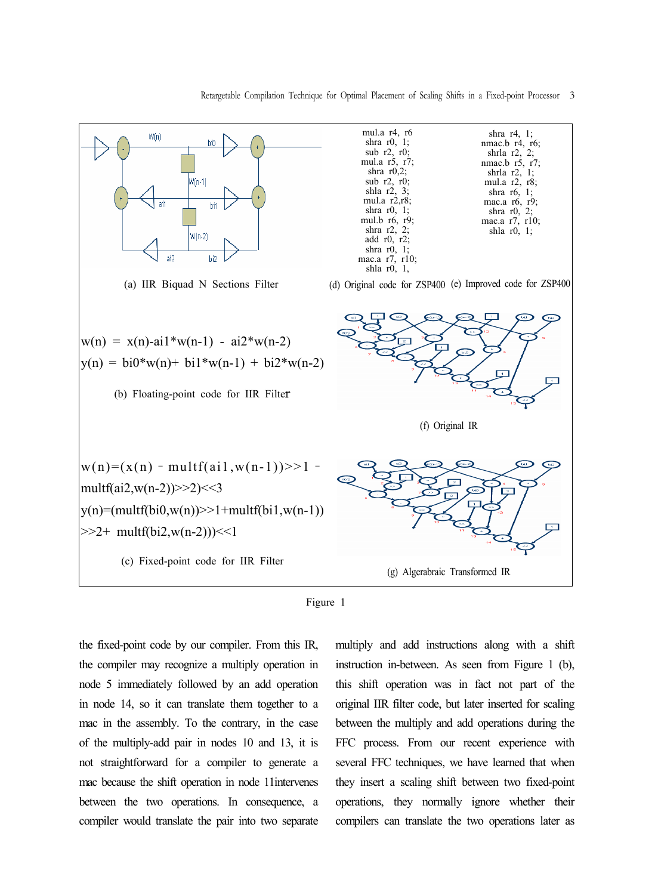Retargetable Compilation Technique for Optimal Placement of Scaling Shifts in a Fixed-point Processor 3





the fixed-point code by our compiler. From this IR, the compiler may recognize a multiply operation in node 5 immediately followed by an add operation in node 14, so it can translate them together to a mac in the assembly. To the contrary, in the case of the multiply-add pair in nodes 10 and 13, it is not straightforward for a compiler to generate a mac because the shift operation in node 11intervenes between the two operations. In consequence, a compiler would translate the pair into two separate multiply and add instructions along with a shift instruction in-between. As seen from Figure 1 (b), this shift operation was in fact not part of the original IIR filter code, but later inserted for scaling between the multiply and add operations during the FFC process. From our recent experience with several FFC techniques, we have learned that when they insert a scaling shift between two fixed-point operations, they normally ignore whether their compilers can translate the two operations later as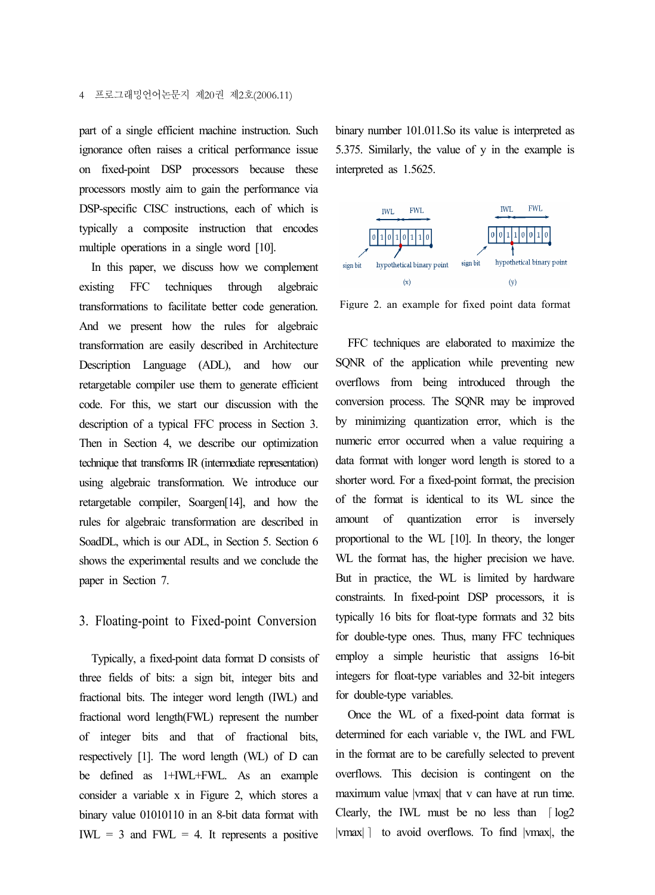#### 4 프로그래밍언어논문지 제20권 제2호(2006.11)

part of a single efficient machine instruction. Such ignorance often raises a critical performance issue on fixed-point DSP processors because these processors mostly aim to gain the performance via DSP-specific CISC instructions, each of which is typically a composite instruction that encodes multiple operations in a single word [10].

In this paper, we discuss how we complement existing FFC techniques through algebraic transformations to facilitate better code generation. And we present how the rules for algebraic transformation are easily described in Architecture Description Language (ADL), and how our retargetable compiler use them to generate efficient code. For this, we start our discussion with the description of a typical FFC process in Section 3. Then in Section 4, we describe our optimization technique that transforms IR (intermediate representation) using algebraic transformation. We introduce our retargetable compiler, Soargen[14], and how the rules for algebraic transformation are described in SoadDL, which is our ADL, in Section 5. Section 6 shows the experimental results and we conclude the paper in Section 7.

## 3. Floating-point to Fixed-point Conversion

Typically, a fixed-point data format D consists of three fields of bits: a sign bit, integer bits and fractional bits. The integer word length (IWL) and fractional word length(FWL) represent the number of integer bits and that of fractional bits, respectively [1]. The word length (WL) of D can be defined as 1+IWL+FWL. As an example consider a variable x in Figure 2, which stores a binary value 01010110 in an 8-bit data format with  $IWL = 3$  and  $FWL = 4$ . It represents a positive binary number 101.011.So its value is interpreted as 5.375. Similarly, the value of y in the example is interpreted as 1.5625.



Figure 2. an example for fixed point data format

FFC techniques are elaborated to maximize the SQNR of the application while preventing new overflows from being introduced through the conversion process. The SQNR may be improved by minimizing quantization error, which is the numeric error occurred when a value requiring a data format with longer word length is stored to a shorter word. For a fixed-point format, the precision of the format is identical to its WL since the amount of quantization error is inversely proportional to the WL [10]. In theory, the longer WL the format has, the higher precision we have. But in practice, the WL is limited by hardware constraints. In fixed-point DSP processors, it is typically 16 bits for float-type formats and 32 bits for double-type ones. Thus, many FFC techniques employ a simple heuristic that assigns 16-bit integers for float-type variables and 32-bit integers for double-type variables.

Once the WL of a fixed-point data format is determined for each variable v, the IWL and FWL in the format are to be carefully selected to prevent overflows. This decision is contingent on the maximum value |vmax| that v can have at run time. Clearly, the IWL must be no less than  $\lceil \log_2 2 \rceil$ |vmax| | to avoid overflows. To find |vmax|, the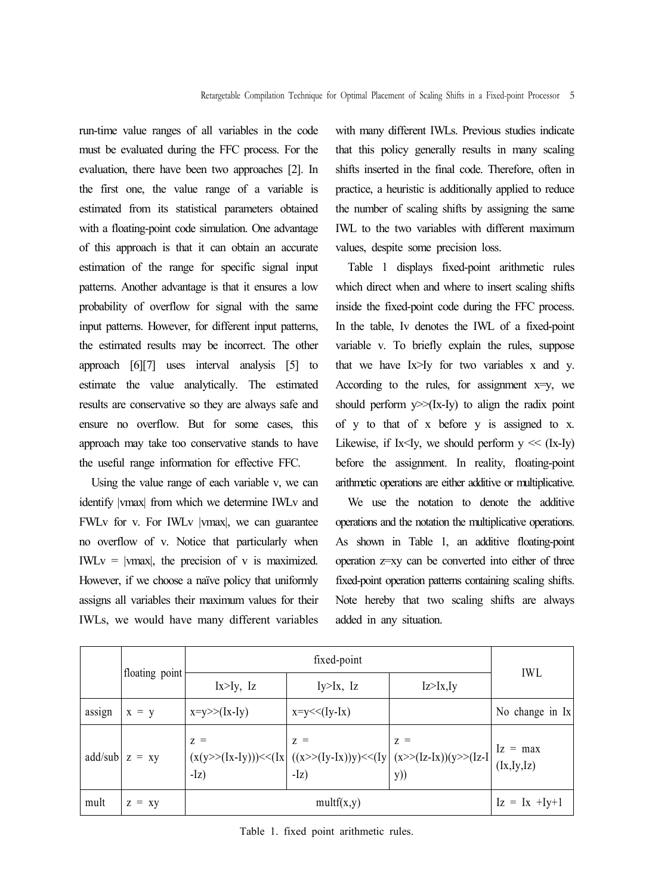run-time value ranges of all variables in the code must be evaluated during the FFC process. For the evaluation, there have been two approaches [2]. In the first one, the value range of a variable is estimated from its statistical parameters obtained with a floating-point code simulation. One advantage of this approach is that it can obtain an accurate estimation of the range for specific signal input patterns. Another advantage is that it ensures a low probability of overflow for signal with the same input patterns. However, for different input patterns, the estimated results may be incorrect. The other approach [6][7] uses interval analysis [5] to estimate the value analytically. The estimated results are conservative so they are always safe and ensure no overflow. But for some cases, this approach may take too conservative stands to have the useful range information for effective FFC.

Using the value range of each variable v, we can identify |vmax| from which we determine IWLv and FWLv for v. For IWLv |vmax|, we can guarantee no overflow of v. Notice that particularly when  $IWLv = |vmax|$ , the precision of v is maximized. However, if we choose a naïve policy that uniformly assigns all variables their maximum values for their IWLs, we would have many different variables with many different IWLs. Previous studies indicate that this policy generally results in many scaling shifts inserted in the final code. Therefore, often in practice, a heuristic is additionally applied to reduce the number of scaling shifts by assigning the same IWL to the two variables with different maximum values, despite some precision loss.

Table 1 displays fixed-point arithmetic rules which direct when and where to insert scaling shifts inside the fixed-point code during the FFC process. In the table, Iv denotes the IWL of a fixed-point variable v. To briefly explain the rules, suppose that we have Ix>Iy for two variables x and y. According to the rules, for assignment  $x=y$ , we should perform  $y \gg (Ix-Iy)$  to align the radix point of y to that of x before y is assigned to x. Likewise, if Ix<Iy, we should perform  $y \ll (Ix-Iy)$ before the assignment. In reality, floating-point arithmetic operations are either additive or multiplicative.

We use the notation to denote the additive operations and the notation the multiplicative operations. As shown in Table 1, an additive floating-point operation z=xy can be converted into either of three fixed-point operation patterns containing scaling shifts. Note hereby that two scaling shifts are always added in any situation.

|        |                  | fixed-point      |                 |                                                                                                                            | <b>IWL</b>                   |
|--------|------------------|------------------|-----------------|----------------------------------------------------------------------------------------------------------------------------|------------------------------|
|        | floating point   | $Ix > Iy$ , $Iz$ | $Iy>IX$ , $Iz$  | Iz > Ix, Iy                                                                                                                |                              |
| assign | $x = y$          | $x=y\geq (x-1y)$ | $x=y<< (Iy-Ix)$ |                                                                                                                            | No change in $\vert x \vert$ |
|        | add/sub $z = xy$ | $Z =$            | $Z =$           | $Z =$<br>$(x(y>>(Ix-Iy)))<<(Ix$<br>$(x>>(Iy-Ix))y)<(Iy)$<br>$(Iz)$<br>$(Iz)$<br>$(Iz)$<br>$(Ix, Iy, Iz)$<br>$(Ix, Iy, Iz)$ |                              |
| mult   | $z = xy$         | multf(x,y)       |                 |                                                                                                                            | $Iz = Ix + Iy+1$             |

Table 1. fixed point arithmetic rules.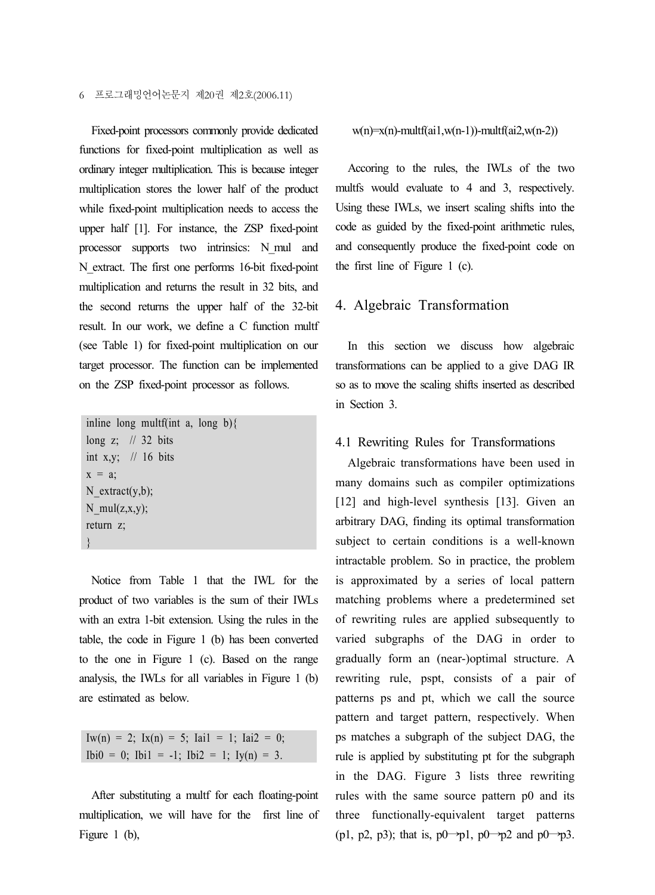Fixed-point processors commonly provide dedicated functions for fixed-point multiplication as well as ordinary integer multiplication. This is because integer multiplication stores the lower half of the product while fixed-point multiplication needs to access the upper half [1]. For instance, the ZSP fixed-point processor supports two intrinsics: N\_mul and N\_extract. The first one performs 16-bit fixed-point multiplication and returns the result in 32 bits, and the second returns the upper half of the 32-bit result. In our work, we define a C function multf (see Table 1) for fixed-point multiplication on our target processor. The function can be implemented on the ZSP fixed-point processor as follows.

```
inline long multf(int a, long b){
long z; \frac{1}{32} bits
int x,y; \frac{1}{16} bits
x = a:
N_extract(y,b);
N_mul(z, x, y);
return z;
}
```
Notice from Table 1 that the IWL for the product of two variables is the sum of their IWLs with an extra 1-bit extension. Using the rules in the table, the code in Figure 1 (b) has been converted to the one in Figure 1 (c). Based on the range analysis, the IWLs for all variables in Figure 1 (b) are estimated as below.

Iw(n) = 2; Ix(n) = 5; Iai1 = 1; Iai2 = 0; Ibi $0 = 0$ ; Ibi $1 = -1$ ; Ibi $2 = 1$ ; Iy(n) = 3.

After substituting a multf for each floating-point multiplication, we will have for the first line of Figure 1 (b),

#### $w(n)=x(n)$ -multf(ai1,w(n-1))-multf(ai2,w(n-2))

Accoring to the rules, the IWLs of the two multfs would evaluate to 4 and 3, respectively. Using these IWLs, we insert scaling shifts into the code as guided by the fixed-point arithmetic rules, and consequently produce the fixed-point code on the first line of Figure 1 (c).

#### 4. Algebraic Transformation

In this section we discuss how algebraic transformations can be applied to a give DAG IR so as to move the scaling shifts inserted as described in Section 3.

#### 4.1 Rewriting Rules for Transformations

Algebraic transformations have been used in many domains such as compiler optimizations [12] and high-level synthesis [13]. Given an arbitrary DAG, finding its optimal transformation subject to certain conditions is a well-known intractable problem. So in practice, the problem is approximated by a series of local pattern matching problems where a predetermined set of rewriting rules are applied subsequently to varied subgraphs of the DAG in order to gradually form an (near-)optimal structure. A rewriting rule, pspt, consists of a pair of patterns ps and pt, which we call the source pattern and target pattern, respectively. When ps matches a subgraph of the subject DAG, the rule is applied by substituting pt for the subgraph in the DAG. Figure 3 lists three rewriting rules with the same source pattern p0 and its three functionally-equivalent target patterns (p1, p2, p3); that is,  $p0 \rightarrow p1$ ,  $p0 \rightarrow p2$  and  $p0 \rightarrow p3$ .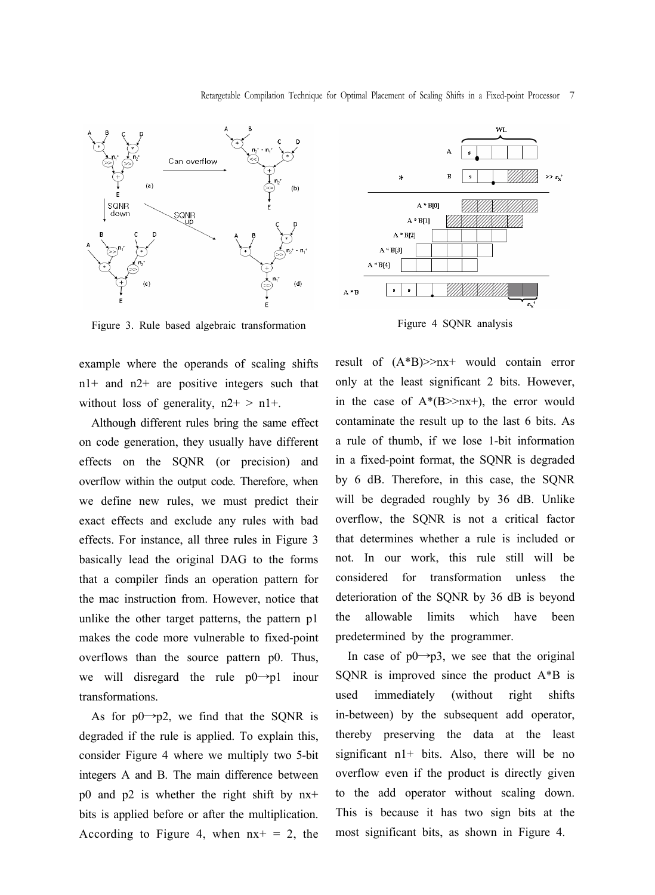Retargetable Compilation Technique for Optimal Placement of Scaling Shifts in a Fixed-point Processor 7



Figure 3. Rule based algebraic transformation

example where the operands of scaling shifts n1+ and n2+ are positive integers such that without loss of generality,  $n2^+ > n1^+$ .

Although different rules bring the same effect on code generation, they usually have different effects on the SQNR (or precision) and overflow within the output code. Therefore, when we define new rules, we must predict their exact effects and exclude any rules with bad effects. For instance, all three rules in Figure 3 basically lead the original DAG to the forms that a compiler finds an operation pattern for the mac instruction from. However, notice that unlike the other target patterns, the pattern p1 makes the code more vulnerable to fixed-point overflows than the source pattern p0. Thus, we will disregard the rule  $p0 \rightarrow p1$  inour transformations.

As for  $p0 \rightarrow p2$ , we find that the SQNR is degraded if the rule is applied. To explain this, consider Figure 4 where we multiply two 5-bit integers A and B. The main difference between p0 and p2 is whether the right shift by nx+ bits is applied before or after the multiplication. According to Figure 4, when  $nx + = 2$ , the



Figure 4 SQNR analysis

result of (A\*B)>>nx+ would contain error only at the least significant 2 bits. However, in the case of  $A^*(B>>nx+)$ , the error would contaminate the result up to the last 6 bits. As a rule of thumb, if we lose 1-bit information in a fixed-point format, the SQNR is degraded by 6 dB. Therefore, in this case, the SQNR will be degraded roughly by 36 dB. Unlike overflow, the SQNR is not a critical factor that determines whether a rule is included or not. In our work, this rule still will be considered for transformation unless the deterioration of the SQNR by 36 dB is beyond the allowable limits which have been predetermined by the programmer.

In case of  $p0 \rightarrow p3$ , we see that the original SQNR is improved since the product A\*B is used immediately (without right shifts in-between) by the subsequent add operator, thereby preserving the data at the least significant  $n1+$  bits. Also, there will be no overflow even if the product is directly given to the add operator without scaling down. This is because it has two sign bits at the most significant bits, as shown in Figure 4.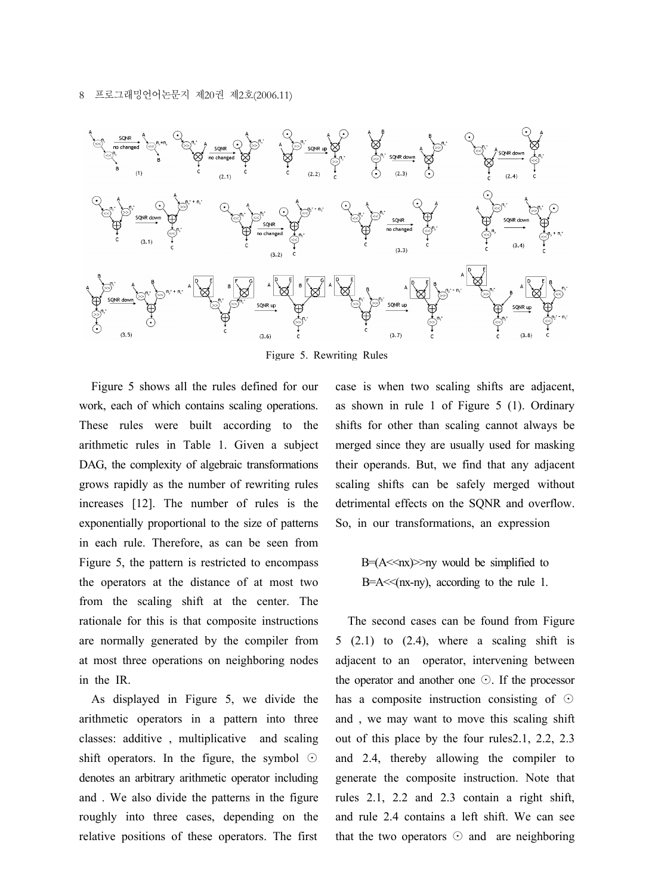#### 8 프로그래밍언어논문지 제20권 제2호(2006.11)



Figure 5. Rewriting Rules

Figure 5 shows all the rules defined for our work, each of which contains scaling operations. These rules were built according to the arithmetic rules in Table 1. Given a subject DAG, the complexity of algebraic transformations grows rapidly as the number of rewriting rules increases [12]. The number of rules is the exponentially proportional to the size of patterns in each rule. Therefore, as can be seen from Figure 5, the pattern is restricted to encompass the operators at the distance of at most two from the scaling shift at the center. The rationale for this is that composite instructions are normally generated by the compiler from at most three operations on neighboring nodes in the IR.

As displayed in Figure 5, we divide the arithmetic operators in a pattern into three classes: additive , multiplicative and scaling shift operators. In the figure, the symbol ⊙ denotes an arbitrary arithmetic operator including and . We also divide the patterns in the figure roughly into three cases, depending on the relative positions of these operators. The first

case is when two scaling shifts are adjacent, as shown in rule 1 of Figure 5 (1). Ordinary shifts for other than scaling cannot always be merged since they are usually used for masking their operands. But, we find that any adjacent scaling shifts can be safely merged without detrimental effects on the SQNR and overflow. So, in our transformations, an expression

> B $=(A<\!\!<\!\!nx)\!\!>$ ny would be simplified to  $B=A \leq (nx-ny)$ , according to the rule 1.

The second cases can be found from Figure  $5(2.1)$  to  $(2.4)$ , where a scaling shift is adjacent to an operator, intervening between the operator and another one ⊙. If the processor has a composite instruction consisting of ⊙ and , we may want to move this scaling shift out of this place by the four rules2.1, 2.2, 2.3 and 2.4, thereby allowing the compiler to generate the composite instruction. Note that rules 2.1, 2.2 and 2.3 contain a right shift, and rule 2.4 contains a left shift. We can see that the two operators  $\odot$  and are neighboring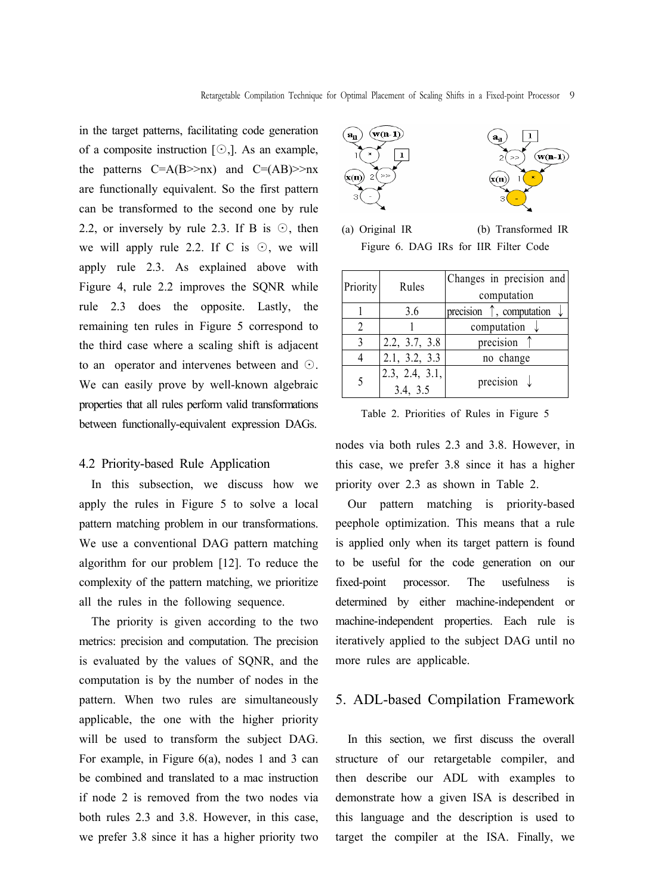in the target patterns, facilitating code generation of a composite instruction [⊙,]. As an example, the patterns  $C=A(B>>nx)$  and  $C=(AB)>nx$ are functionally equivalent. So the first pattern can be transformed to the second one by rule 2.2, or inversely by rule 2.3. If B is  $\odot$ , then we will apply rule 2.2. If C is ⊙, we will apply rule 2.3. As explained above with Figure 4, rule 2.2 improves the SQNR while rule 2.3 does the opposite. Lastly, the remaining ten rules in Figure 5 correspond to the third case where a scaling shift is adjacent to an operator and intervenes between and ⊙. We can easily prove by well-known algebraic properties that all rules perform valid transformations between functionally-equivalent expression DAGs.

## 4.2 Priority-based Rule Application

In this subsection, we discuss how we apply the rules in Figure 5 to solve a local pattern matching problem in our transformations. We use a conventional DAG pattern matching algorithm for our problem [12]. To reduce the complexity of the pattern matching, we prioritize all the rules in the following sequence.

The priority is given according to the two metrics: precision and computation. The precision is evaluated by the values of SQNR, and the computation is by the number of nodes in the pattern. When two rules are simultaneously applicable, the one with the higher priority will be used to transform the subject DAG. For example, in Figure 6(a), nodes 1 and 3 can be combined and translated to a mac instruction if node 2 is removed from the two nodes via both rules 2.3 and 3.8. However, in this case, we prefer 3.8 since it has a higher priority two



(a) Original IR (b) Transformed IR Figure 6. DAG IRs for IIR Filter Code

| Priority       | Rules          | Changes in precision and                        |  |  |
|----------------|----------------|-------------------------------------------------|--|--|
|                |                | computation                                     |  |  |
|                | 3.6            | precision $\uparrow$ , computation $\downarrow$ |  |  |
| $\overline{c}$ |                | computation                                     |  |  |
| 3              | 2.2, 3.7, 3.8  | precision                                       |  |  |
| 4              | 2.1, 3.2, 3.3  | no change                                       |  |  |
| 5              | 2.3, 2.4, 3.1, |                                                 |  |  |
|                | 3.4, 3.5       | precision $\downarrow$                          |  |  |

Table 2. Priorities of Rules in Figure 5

nodes via both rules 2.3 and 3.8. However, in this case, we prefer 3.8 since it has a higher priority over 2.3 as shown in Table 2.

Our pattern matching is priority-based peephole optimization. This means that a rule is applied only when its target pattern is found to be useful for the code generation on our fixed-point processor. The usefulness is determined by either machine-independent or machine-independent properties. Each rule is iteratively applied to the subject DAG until no more rules are applicable.

## 5. ADL-based Compilation Framework

In this section, we first discuss the overall structure of our retargetable compiler, and then describe our ADL with examples to demonstrate how a given ISA is described in this language and the description is used to target the compiler at the ISA. Finally, we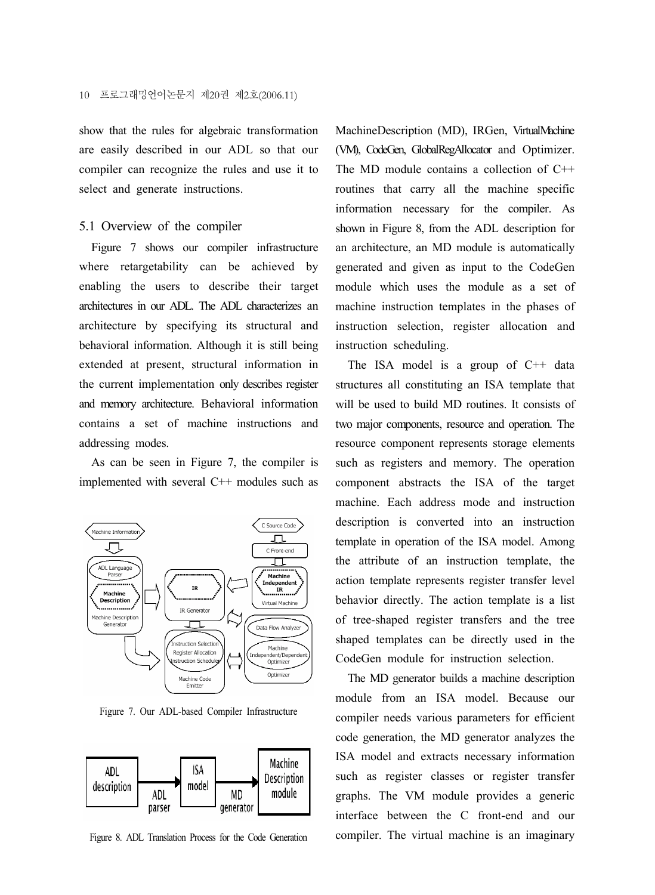show that the rules for algebraic transformation are easily described in our ADL so that our compiler can recognize the rules and use it to select and generate instructions.

#### 5.1 Overview of the compiler

Figure 7 shows our compiler infrastructure where retargetability can be achieved by enabling the users to describe their target architectures in our ADL. The ADL characterizes an architecture by specifying its structural and behavioral information. Although it is still being extended at present, structural information in the current implementation only describes register and memory architecture. Behavioral information contains a set of machine instructions and addressing modes.

As can be seen in Figure 7, the compiler is implemented with several C++ modules such as



Figure 7. Our ADL-based Compiler Infrastructure



Figure 8. ADL Translation Process for the Code Generation

MachineDescription (MD), IRGen, VirtualMachine (VM), CodeGen, GlobalRegAllocator and Optimizer. The MD module contains a collection of C++ routines that carry all the machine specific information necessary for the compiler. As shown in Figure 8, from the ADL description for an architecture, an MD module is automatically generated and given as input to the CodeGen module which uses the module as a set of machine instruction templates in the phases of instruction selection, register allocation and instruction scheduling.

The ISA model is a group of  $C++$  data structures all constituting an ISA template that will be used to build MD routines. It consists of two major components, resource and operation. The resource component represents storage elements such as registers and memory. The operation component abstracts the ISA of the target machine. Each address mode and instruction description is converted into an instruction template in operation of the ISA model. Among the attribute of an instruction template, the action template represents register transfer level behavior directly. The action template is a list of tree-shaped register transfers and the tree shaped templates can be directly used in the CodeGen module for instruction selection.

The MD generator builds a machine description module from an ISA model. Because our compiler needs various parameters for efficient code generation, the MD generator analyzes the ISA model and extracts necessary information such as register classes or register transfer graphs. The VM module provides a generic interface between the C front-end and our compiler. The virtual machine is an imaginary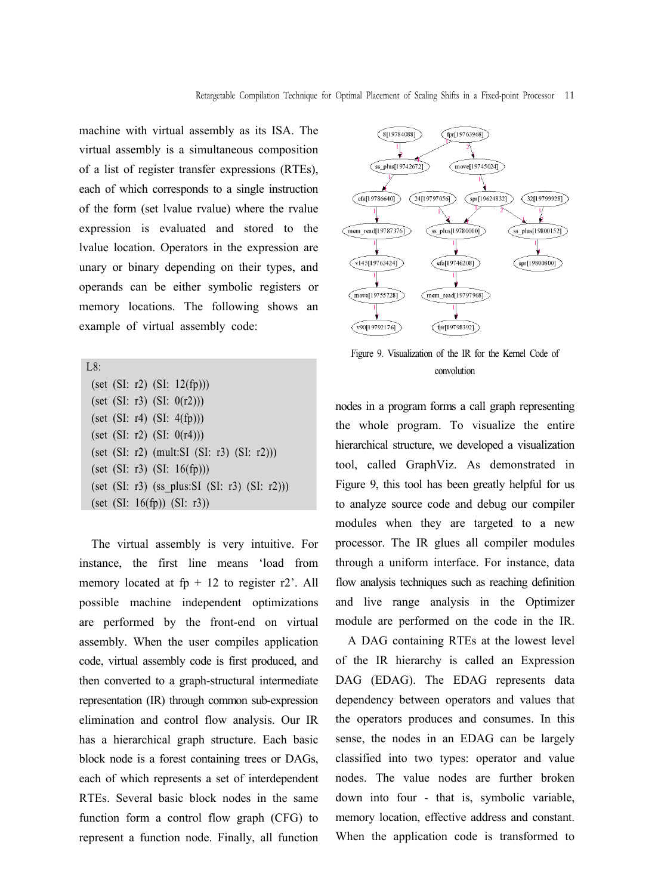machine with virtual assembly as its ISA. The virtual assembly is a simultaneous composition of a list of register transfer expressions (RTEs), each of which corresponds to a single instruction of the form (set lvalue rvalue) where the rvalue expression is evaluated and stored to the lvalue location. Operators in the expression are unary or binary depending on their types, and operands can be either symbolic registers or memory locations. The following shows an example of virtual assembly code:

| L8:                                                   |
|-------------------------------------------------------|
| (set (SI: r2) (SI: 12(fp)))                           |
| (set (SI: r3) (SI: 0(r2)))                            |
| (set (SI: r4) (SI: 4(fp)))                            |
| (set (SI: r2) (SI: 0(r4)))                            |
| (set $(SI: r2)$ (mult:SI $(SI: r3)$ $(SI: r2))$ )     |
| (set (SI: r3) (SI: 16(fp)))                           |
| (set $(SI: r3)$ (ss plus: SI $(SI: r3)$ $(SI: r2)$ )) |
| (set (SI: 16(fp)) (SI: r3))                           |
|                                                       |

The virtual assembly is very intuitive. For instance, the first line means 'load from memory located at  $fp + 12$  to register r2'. All possible machine independent optimizations are performed by the front-end on virtual assembly. When the user compiles application code, virtual assembly code is first produced, and then converted to a graph-structural intermediate representation (IR) through common sub-expression elimination and control flow analysis. Our IR has a hierarchical graph structure. Each basic block node is a forest containing trees or DAGs, each of which represents a set of interdependent RTEs. Several basic block nodes in the same function form a control flow graph (CFG) to represent a function node. Finally, all function



Figure 9. Visualization of the IR for the Kernel Code of convolution

nodes in a program forms a call graph representing the whole program. To visualize the entire hierarchical structure, we developed a visualization tool, called GraphViz. As demonstrated in Figure 9, this tool has been greatly helpful for us to analyze source code and debug our compiler modules when they are targeted to a new processor. The IR glues all compiler modules through a uniform interface. For instance, data flow analysis techniques such as reaching definition and live range analysis in the Optimizer module are performed on the code in the IR.

A DAG containing RTEs at the lowest level of the IR hierarchy is called an Expression DAG (EDAG). The EDAG represents data dependency between operators and values that the operators produces and consumes. In this sense, the nodes in an EDAG can be largely classified into two types: operator and value nodes. The value nodes are further broken down into four - that is, symbolic variable, memory location, effective address and constant. When the application code is transformed to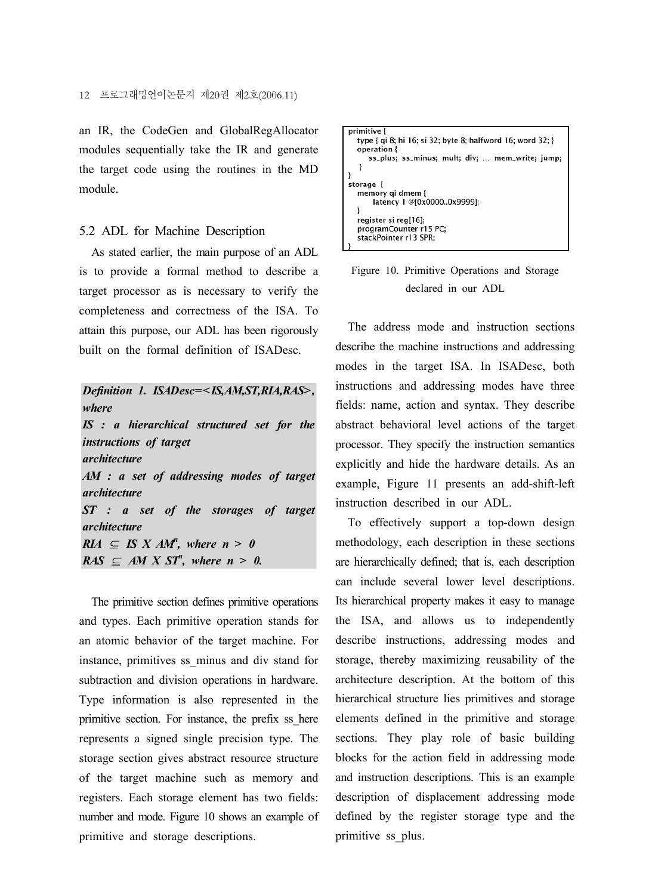an IR, the CodeGen and GlobalRegAllocator modules sequentially take the IR and generate the target code using the routines in the MD module.

#### 5.2 ADL for Machine Description

As stated earlier, the main purpose of an ADL is to provide a formal method to describe a target processor as is necessary to verify the completeness and correctness of the ISA. To attain this purpose, our ADL has been rigorously built on the formal definition of ISADesc.

*Definition 1. ISADesc=<IS,AM,ST,RIA,RAS>, where IS : a hierarchical structured set for the instructions of target architecture AM : a set of addressing modes of target architecture ST : a set of the storages of target architecture*  $RIA \subseteq IS \times AM^n$ , where  $n > 0$  $RAS \subseteq AM \times ST^n$ , where  $n > 0$ .

The primitive section defines primitive operations and types. Each primitive operation stands for an atomic behavior of the target machine. For instance, primitives ss\_minus and div stand for subtraction and division operations in hardware. Type information is also represented in the primitive section. For instance, the prefix ss\_here represents a signed single precision type. The storage section gives abstract resource structure of the target machine such as memory and registers. Each storage element has two fields: number and mode. Figure 10 shows an example of primitive and storage descriptions.



Figure 10. Primitive Operations and Storage declared in our ADL

The address mode and instruction sections describe the machine instructions and addressing modes in the target ISA. In ISADesc, both instructions and addressing modes have three fields: name, action and syntax. They describe abstract behavioral level actions of the target processor. They specify the instruction semantics explicitly and hide the hardware details. As an example, Figure 11 presents an add-shift-left instruction described in our ADL.

To effectively support a top-down design methodology, each description in these sections are hierarchically defined; that is, each description can include several lower level descriptions. Its hierarchical property makes it easy to manage the ISA, and allows us to independently describe instructions, addressing modes and storage, thereby maximizing reusability of the architecture description. At the bottom of this hierarchical structure lies primitives and storage elements defined in the primitive and storage sections. They play role of basic building blocks for the action field in addressing mode and instruction descriptions. This is an example description of displacement addressing mode defined by the register storage type and the primitive ss\_plus.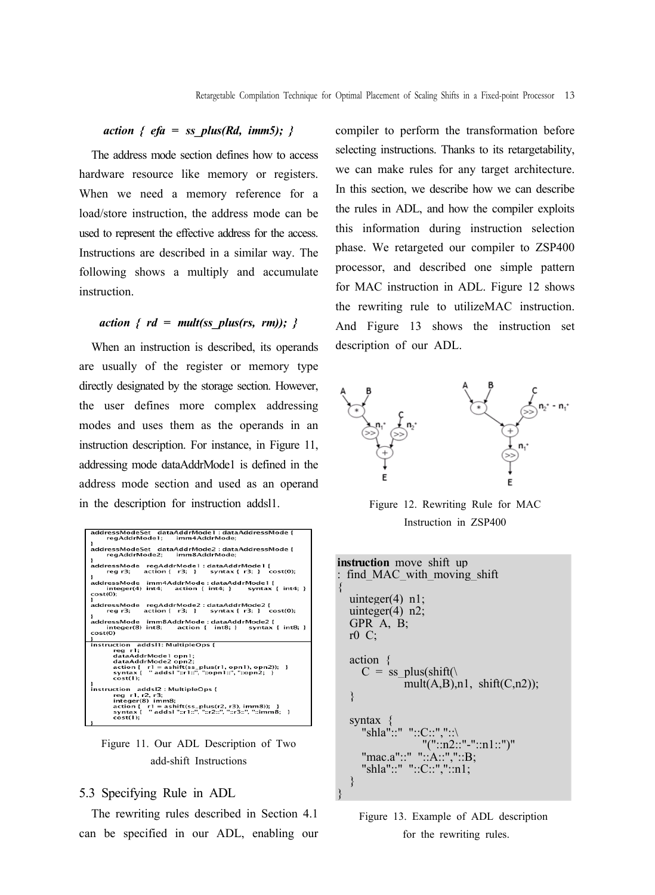## *action { efa = ss\_plus(Rd, imm5); }*

The address mode section defines how to access hardware resource like memory or registers. When we need a memory reference for a load/store instruction, the address mode can be used to represent the effective address for the access. Instructions are described in a similar way. The following shows a multiply and accumulate instruction.

## *action { rd = mult(ss plus(rs, rm)); }*

When an instruction is described, its operands are usually of the register or memory type directly designated by the storage section. However, the user defines more complex addressing modes and uses them as the operands in an instruction description. For instance, in Figure 11, addressing mode dataAddrMode1 is defined in the address mode section and used as an operand in the description for instruction addsl1.

| addressModeSet dataAddrMode1:dataAddressMode{<br>reaAddrMode1: imm4AddrMode:                              |  |  |  |  |
|-----------------------------------------------------------------------------------------------------------|--|--|--|--|
|                                                                                                           |  |  |  |  |
| addressModeSet dataAddrMode2:dataAddressMode {                                                            |  |  |  |  |
| regAddrMode2: imm8AddrMode:                                                                               |  |  |  |  |
| ı                                                                                                         |  |  |  |  |
| addressMode regAddrMode1 : dataAddrMode1 {<br>$real:$ $action{f r3:}$ syntax $f r3:}$ $cost(0):$          |  |  |  |  |
| addressMode imm4AddrMode:dataAddrMode1 {<br>$integer(4) int4: action { int4: } exists;$<br>$cost(0)$ :    |  |  |  |  |
| addressMode regAddrMode2:dataAddrMode2 {<br>reg $r3$ : $\arctan \{ r3: \}$ syntax $\{ r3: \}$ cost(0):    |  |  |  |  |
| addressMode imm8AddrMode:dataAddrMode2 {<br>integer(8) int8: action { int8: } syntax { int8: }<br>cost(0) |  |  |  |  |
| instruction addsl1: MultipleOps {                                                                         |  |  |  |  |
| rea r1:                                                                                                   |  |  |  |  |
| dataAddrMode1 opn1:                                                                                       |  |  |  |  |
| dataAddrMode2 opn2:                                                                                       |  |  |  |  |
| $action{r}$ r1 = $ashift(ss_plus(r1, opn1), opn2))$ ; }                                                   |  |  |  |  |
| syntax { " addsl "::r1::", "::opn1::", "::opn2; }                                                         |  |  |  |  |
| cost(1):                                                                                                  |  |  |  |  |
| instruction addsl2 : MultipleOps {                                                                        |  |  |  |  |
| reg r1, r2, r3;                                                                                           |  |  |  |  |
| integer(8) imm8;                                                                                          |  |  |  |  |
| $action{r}$ r1 = ashift(ss_plus(r2, r3), imm8)); }                                                        |  |  |  |  |
| cost(1):                                                                                                  |  |  |  |  |
|                                                                                                           |  |  |  |  |

Figure 11. Our ADL Description of Two add-shift Instructions

#### 5.3 Specifying Rule in ADL

The rewriting rules described in Section 4.1 can be specified in our ADL, enabling our compiler to perform the transformation before selecting instructions. Thanks to its retargetability, we can make rules for any target architecture. In this section, we describe how we can describe the rules in ADL, and how the compiler exploits this information during instruction selection phase. We retargeted our compiler to ZSP400 processor, and described one simple pattern for MAC instruction in ADL. Figure 12 shows the rewriting rule to utilizeMAC instruction. And Figure 13 shows the instruction set description of our ADL.



Figure 12. Rewriting Rule for MAC Instruction in ZSP400

| <b>instruction</b> move shift up    |
|-------------------------------------|
| : find MAC with moving shift        |
| $\{$                                |
| uinteger $(4)$ n1;                  |
| uinteger $(4)$ n2;                  |
| GPR $A, B$ ;                        |
| $r0 \text{ C}$                      |
|                                     |
| $action \{$                         |
| $C = ss$ plus(shift()               |
| mult $(A,B)$ , n1, shift $(C,n2)$ ; |
| ₹                                   |
| syntax $\{$                         |
| "shla"::" "::C::","::\              |
| $"("::n2::"-"::n1::")"$             |
| "mac.a"::" "::A::"."::B;            |
| "shla"::" "::C::","::n1;            |
| ł                                   |
|                                     |

Figure 13. Example of ADL description for the rewriting rules.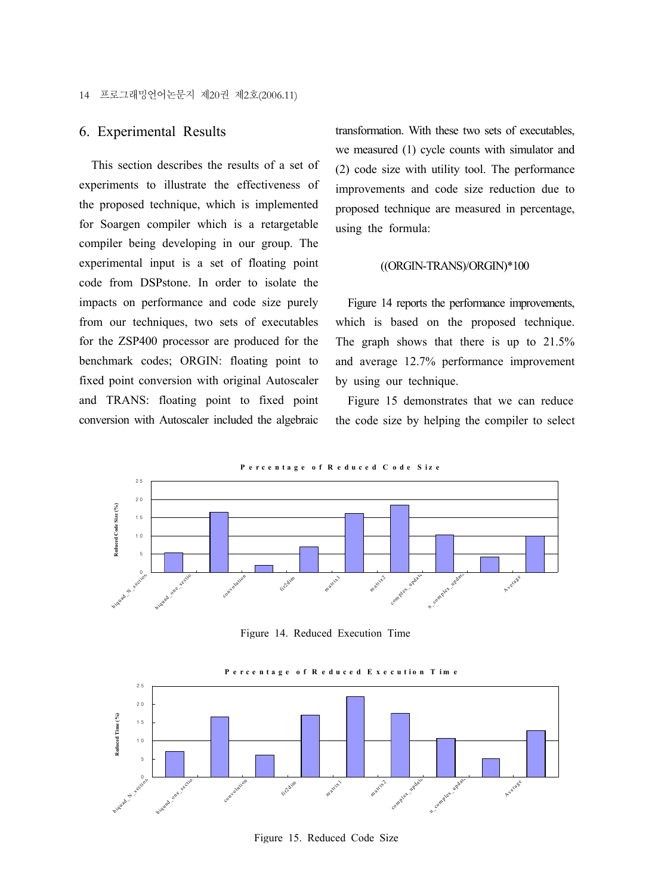## 6. Experimental Results

This section describes the results of a set of experiments to illustrate the effectiveness of the proposed technique, which is implemented for Soargen compiler which is a retargetable compiler being developing in our group. The experimental input is a set of floating point code from DSPstone. In order to isolate the impacts on performance and code size purely from our techniques, two sets of executables for the ZSP400 processor are produced for the benchmark codes; ORGIN: floating point to fixed point conversion with original Autoscaler and TRANS: floating point to fixed point conversion with Autoscaler included the algebraic transformation. With these two sets of executables, we measured (1) cycle counts with simulator and (2) code size with utility tool. The performance improvements and code size reduction due to proposed technique are measured in percentage, using the formula:

#### ((ORGIN-TRANS)/ORGIN)\*100

Figure 14 reports the performance improvements, which is based on the proposed technique. The graph shows that there is up to 21.5% and average 12.7% performance improvement by using our technique.

Figure 15 demonstrates that we can reduce the code size by helping the compiler to select



Figure 14. Reduced Execution Time



Figure 15. Reduced Code Size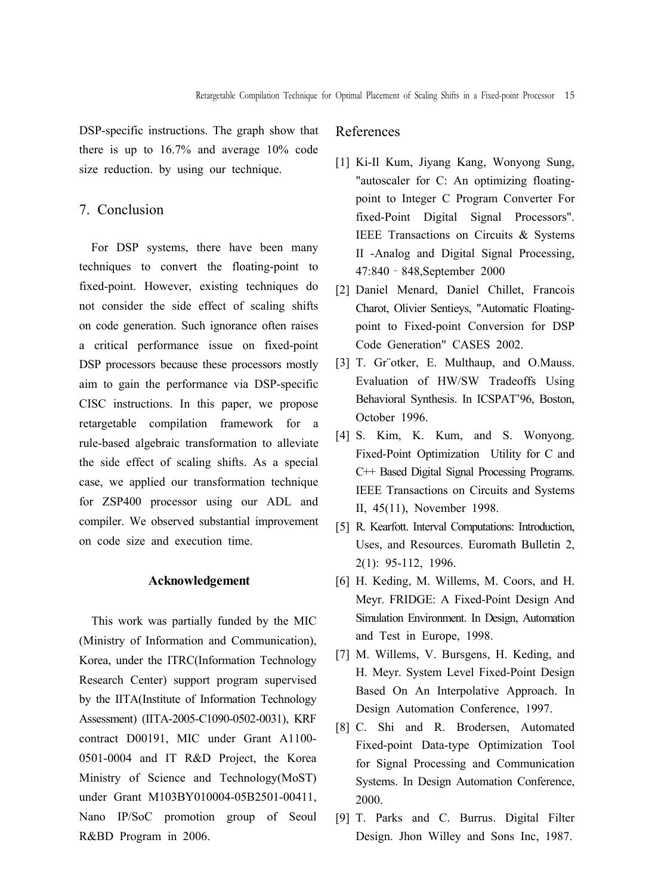DSP-specific instructions. The graph show that there is up to 16.7% and average 10% code size reduction. by using our technique.

## 7. Conclusion

For DSP systems, there have been many techniques to convert the floating-point to fixed-point. However, existing techniques do not consider the side effect of scaling shifts on code generation. Such ignorance often raises a critical performance issue on fixed-point DSP processors because these processors mostly aim to gain the performance via DSP-specific CISC instructions. In this paper, we propose retargetable compilation framework for a rule-based algebraic transformation to alleviate the side effect of scaling shifts. As a special case, we applied our transformation technique for ZSP400 processor using our ADL and compiler. We observed substantial improvement on code size and execution time.

#### **Acknowledgement**

This work was partially funded by the MIC (Ministry of Information and Communication), Korea, under the ITRC(Information Technology Research Center) support program supervised by the IITA(Institute of Information Technology Assessment) (IITA-2005-C1090-0502-0031), KRF contract D00191, MIC under Grant A1100- 0501-0004 and IT R&D Project, the Korea Ministry of Science and Technology(MoST) under Grant M103BY010004-05B2501-00411, Nano IP/SoC promotion group of Seoul R&BD Program in 2006.

## References

- [1] Ki-Il Kum, Jiyang Kang, Wonyong Sung, "autoscaler for C: An optimizing floatingpoint to Integer C Program Converter For fixed-Point Digital Signal Processors". IEEE Transactions on Circuits & Systems II -Analog and Digital Signal Processing, 47:840–848,September 2000
- [2] Daniel Menard, Daniel Chillet, Francois Charot, Olivier Sentieys, "Automatic Floatingpoint to Fixed-point Conversion for DSP Code Generation" CASES 2002.
- [3] T. Gr"otker, E. Multhaup, and O.Mauss. Evaluation of HW/SW Tradeoffs Using Behavioral Synthesis. In ICSPAT'96, Boston, October 1996.
- [4] S. Kim, K. Kum, and S. Wonyong. Fixed-Point Optimization Utility for C and C++ Based Digital Signal Processing Programs. IEEE Transactions on Circuits and Systems II, 45(11), November 1998.
- [5] R. Kearfott. Interval Computations: Introduction, Uses, and Resources. Euromath Bulletin 2, 2(1): 95-112, 1996.
- [6] H. Keding, M. Willems, M. Coors, and H. Meyr. FRIDGE: A Fixed-Point Design And Simulation Environment. In Design, Automation and Test in Europe, 1998.
- [7] M. Willems, V. Bursgens, H. Keding, and H. Meyr. System Level Fixed-Point Design Based On An Interpolative Approach. In Design Automation Conference, 1997.
- [8] C. Shi and R. Brodersen, Automated Fixed-point Data-type Optimization Tool for Signal Processing and Communication Systems. In Design Automation Conference, 2000.
- [9] T. Parks and C. Burrus. Digital Filter Design. Jhon Willey and Sons Inc, 1987.